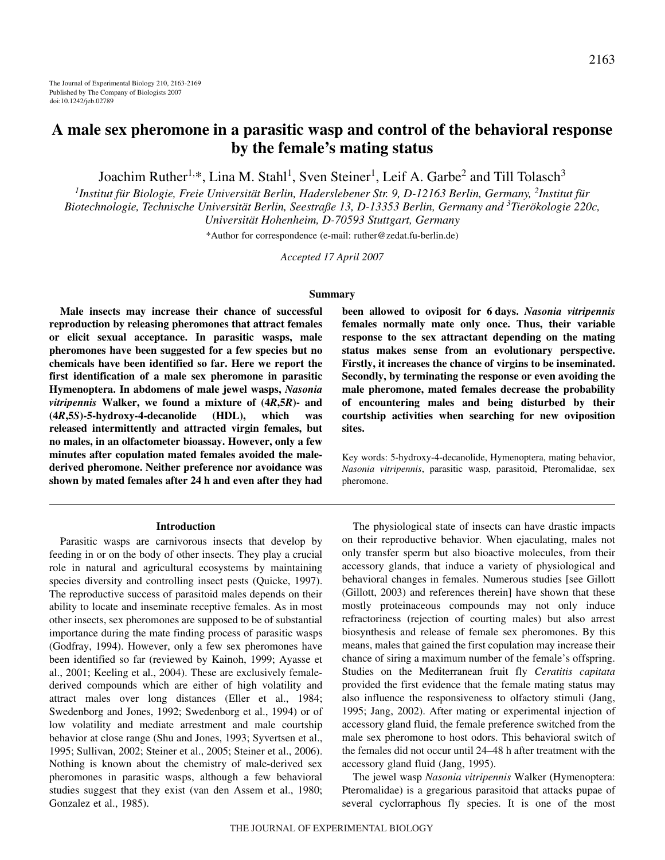# **A male sex pheromone in a parasitic wasp and control of the behavioral response by the female's mating status**

Joachim Ruther<sup>1,\*</sup>, Lina M. Stahl<sup>1</sup>, Sven Steiner<sup>1</sup>, Leif A. Garbe<sup>2</sup> and Till Tolasch<sup>3</sup>

<sup>1</sup>Institut für Biologie, Freie Universität Berlin, Haderslebener Str. 9, D-12163 Berlin, Germany, <sup>2</sup>Institut für *Biotechnologie, Technische Universität Berlin, Seestraße 13, D-13353 Berlin, Germany and <sup>3</sup> Tierökologie 220c, Universität Hohenheim, D-70593 Stuttgart, Germany*

\*Author for correspondence (e-mail: ruther@zedat.fu-berlin.de)

*Accepted 17 April 2007*

## **Summary**

**Male insects may increase their chance of successful reproduction by releasing pheromones that attract females or elicit sexual acceptance. In parasitic wasps, male pheromones have been suggested for a few species but no chemicals have been identified so far. Here we report the first identification of a male sex pheromone in parasitic Hymenoptera. In abdomens of male jewel wasps,** *Nasonia vitripennis* **Walker, we found a mixture of (4***R***,5***R***)- and (4***R***,5***S***)-5-hydroxy-4-decanolide (HDL), which was released intermittently and attracted virgin females, but no males, in an olfactometer bioassay. However, only a few minutes after copulation mated females avoided the malederived pheromone. Neither preference nor avoidance was shown by mated females after 24·h and even after they had**

#### **Introduction**

Parasitic wasps are carnivorous insects that develop by feeding in or on the body of other insects. They play a crucial role in natural and agricultural ecosystems by maintaining species diversity and controlling insect pests (Quicke, 1997). The reproductive success of parasitoid males depends on their ability to locate and inseminate receptive females. As in most other insects, sex pheromones are supposed to be of substantial importance during the mate finding process of parasitic wasps (Godfray, 1994). However, only a few sex pheromones have been identified so far (reviewed by Kainoh, 1999; Ayasse et al., 2001; Keeling et al., 2004). These are exclusively femalederived compounds which are either of high volatility and attract males over long distances (Eller et al., 1984; Swedenborg and Jones, 1992; Swedenborg et al., 1994) or of low volatility and mediate arrestment and male courtship behavior at close range (Shu and Jones, 1993; Syvertsen et al., 1995; Sullivan, 2002; Steiner et al., 2005; Steiner et al., 2006). Nothing is known about the chemistry of male-derived sex pheromones in parasitic wasps, although a few behavioral studies suggest that they exist (van den Assem et al., 1980; Gonzalez et al., 1985).

**been allowed to oviposit for 6 days.** *Nasonia vitripennis* **females normally mate only once. Thus, their variable response to the sex attractant depending on the mating status makes sense from an evolutionary perspective. Firstly, it increases the chance of virgins to be inseminated. Secondly, by terminating the response or even avoiding the male pheromone, mated females decrease the probability of encountering males and being disturbed by their courtship activities when searching for new oviposition sites.**

Key words: 5-hydroxy-4-decanolide, Hymenoptera, mating behavior, *Nasonia vitripennis*, parasitic wasp, parasitoid, Pteromalidae, sex pheromone.

The physiological state of insects can have drastic impacts on their reproductive behavior. When ejaculating, males not only transfer sperm but also bioactive molecules, from their accessory glands, that induce a variety of physiological and behavioral changes in females. Numerous studies [see Gillott (Gillott, 2003) and references therein] have shown that these mostly proteinaceous compounds may not only induce refractoriness (rejection of courting males) but also arrest biosynthesis and release of female sex pheromones. By this means, males that gained the first copulation may increase their chance of siring a maximum number of the female's offspring. Studies on the Mediterranean fruit fly *Ceratitis capitata* provided the first evidence that the female mating status may also influence the responsiveness to olfactory stimuli (Jang, 1995; Jang, 2002). After mating or experimental injection of accessory gland fluid, the female preference switched from the male sex pheromone to host odors. This behavioral switch of the females did not occur until 24–48 h after treatment with the accessory gland fluid (Jang, 1995).

The jewel wasp *Nasonia vitripennis* Walker (Hymenoptera: Pteromalidae) is a gregarious parasitoid that attacks pupae of several cyclorraphous fly species. It is one of the most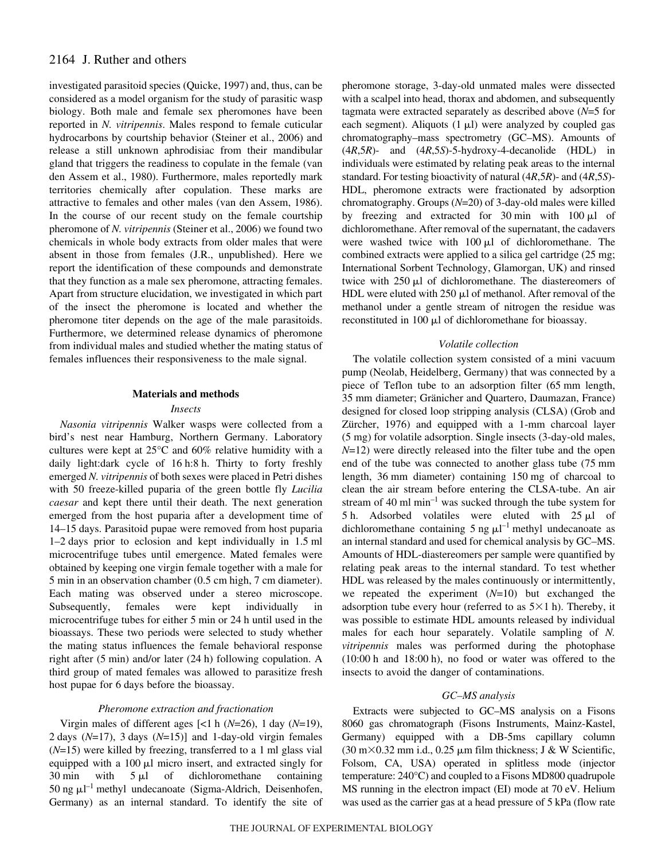## 2164 J. Ruther and others

investigated parasitoid species (Quicke, 1997) and, thus, can be considered as a model organism for the study of parasitic wasp biology. Both male and female sex pheromones have been reported in *N. vitripennis*. Males respond to female cuticular hydrocarbons by courtship behavior (Steiner et al., 2006) and release a still unknown aphrodisiac from their mandibular gland that triggers the readiness to copulate in the female (van den Assem et al., 1980). Furthermore, males reportedly mark territories chemically after copulation. These marks are attractive to females and other males (van den Assem, 1986). In the course of our recent study on the female courtship pheromone of *N. vitripennis* (Steiner et al., 2006) we found two chemicals in whole body extracts from older males that were absent in those from females (J.R., unpublished). Here we report the identification of these compounds and demonstrate that they function as a male sex pheromone, attracting females. Apart from structure elucidation, we investigated in which part of the insect the pheromone is located and whether the pheromone titer depends on the age of the male parasitoids. Furthermore, we determined release dynamics of pheromone from individual males and studied whether the mating status of females influences their responsiveness to the male signal.

## **Materials and methods**

#### *Insects*

*Nasonia vitripennis* Walker wasps were collected from a bird's nest near Hamburg, Northern Germany. Laboratory cultures were kept at 25°C and 60% relative humidity with a daily light:dark cycle of 16 h:8 h. Thirty to forty freshly emerged *N. vitripennis* of both sexes were placed in Petri dishes with 50 freeze-killed puparia of the green bottle fly *Lucilia caesar* and kept there until their death. The next generation emerged from the host puparia after a development time of 14–15 days. Parasitoid pupae were removed from host puparia  $1-2$  days prior to eclosion and kept individually in 1.5 ml microcentrifuge tubes until emergence. Mated females were obtained by keeping one virgin female together with a male for 5 min in an observation chamber (0.5 cm high, 7 cm diameter). Each mating was observed under a stereo microscope. Subsequently, females were kept individually in microcentrifuge tubes for either 5 min or 24 h until used in the bioassays. These two periods were selected to study whether the mating status influences the female behavioral response right after  $(5 \text{ min})$  and/or later  $(24 \text{ h})$  following copulation. A third group of mated females was allowed to parasitize fresh host pupae for 6 days before the bioassay.

## *Pheromone extraction and fractionation*

Virgin males of different ages  $\lceil$ <1 h (*N*=26), 1 day (*N*=19), 2 days  $(N=17)$ , 3 days  $(N=15)$ ] and 1-day-old virgin females  $(N=15)$  were killed by freezing, transferred to a 1 ml glass vial equipped with a 100  $\mu$ l micro insert, and extracted singly for 30 min with  $5 \mu l$ of dichloromethane containing 50 ng  $\mu$ l<sup>-1</sup> methyl undecanoate (Sigma-Aldrich, Deisenhofen, Germany) as an internal standard. To identify the site of pheromone storage, 3-day-old unmated males were dissected with a scalpel into head, thorax and abdomen, and subsequently tagmata were extracted separately as described above (*N*=5 for each segment). Aliquots  $(1 \mu l)$  were analyzed by coupled gas chromatography–mass spectrometry (GC–MS). Amounts of (4*R*,5*R*)- and (4*R*,5*S*)-5-hydroxy-4-decanolide (HDL) in individuals were estimated by relating peak areas to the internal standard. For testing bioactivity of natural (4*R*,5*R*)- and (4*R*,5*S*)- HDL, pheromone extracts were fractionated by adsorption chromatography. Groups (*N*=20) of 3-day-old males were killed by freezing and extracted for  $30 \text{ min}$  with  $100 \mu l$  of dichloromethane. After removal of the supernatant, the cadavers were washed twice with  $100 \mu l$  of dichloromethane. The combined extracts were applied to a silica gel cartridge (25 mg; International Sorbent Technology, Glamorgan, UK) and rinsed twice with  $250 \mu l$  of dichloromethane. The diastereomers of HDL were eluted with  $250 \mu l$  of methanol. After removal of the methanol under a gentle stream of nitrogen the residue was reconstituted in 100  $\mu$ l of dichloromethane for bioassay.

## *Volatile collection*

The volatile collection system consisted of a mini vacuum pump (Neolab, Heidelberg, Germany) that was connected by a piece of Teflon tube to an adsorption filter (65 mm length, 35 mm diameter; Gränicher and Quartero, Daumazan, France) designed for closed loop stripping analysis (CLSA) (Grob and Zürcher, 1976) and equipped with a 1-mm charcoal layer (5 mg) for volatile adsorption. Single insects (3-day-old males, *N*=12) were directly released into the filter tube and the open end of the tube was connected to another glass tube (75 mm) length, 36 mm diameter) containing 150 mg of charcoal to clean the air stream before entering the CLSA-tube. An air stream of 40  $\text{ml min}^{-1}$  was sucked through the tube system for 5 h. Adsorbed volatiles were eluted with  $25 \mu$ l of dichloromethane containing 5 ng  $\mu$ l<sup>-1</sup> methyl undecanoate as an internal standard and used for chemical analysis by GC–MS. Amounts of HDL-diastereomers per sample were quantified by relating peak areas to the internal standard. To test whether HDL was released by the males continuously or intermittently, we repeated the experiment (*N*=10) but exchanged the adsorption tube every hour (referred to as  $5\times1$  h). Thereby, it was possible to estimate HDL amounts released by individual males for each hour separately. Volatile sampling of *N. vitripennis* males was performed during the photophase  $(10:00h$  and  $18:00h$ , no food or water was offered to the insects to avoid the danger of contaminations.

## *GC–MS analysis*

Extracts were subjected to GC–MS analysis on a Fisons 8060 gas chromatograph (Fisons Instruments, Mainz-Kastel, Germany) equipped with a DB-5ms capillary column  $(30 \text{ m} \times 0.32 \text{ mm} \text{ i.d., } 0.25 \text{ }\mu\text{m} \text{ film thickness}; \text{J} \& \text{W} \text{ Scientific},$ Folsom, CA, USA) operated in splitless mode (injector temperature: 240°C) and coupled to a Fisons MD800 quadrupole MS running in the electron impact (EI) mode at 70 eV. Helium was used as the carrier gas at a head pressure of 5 kPa (flow rate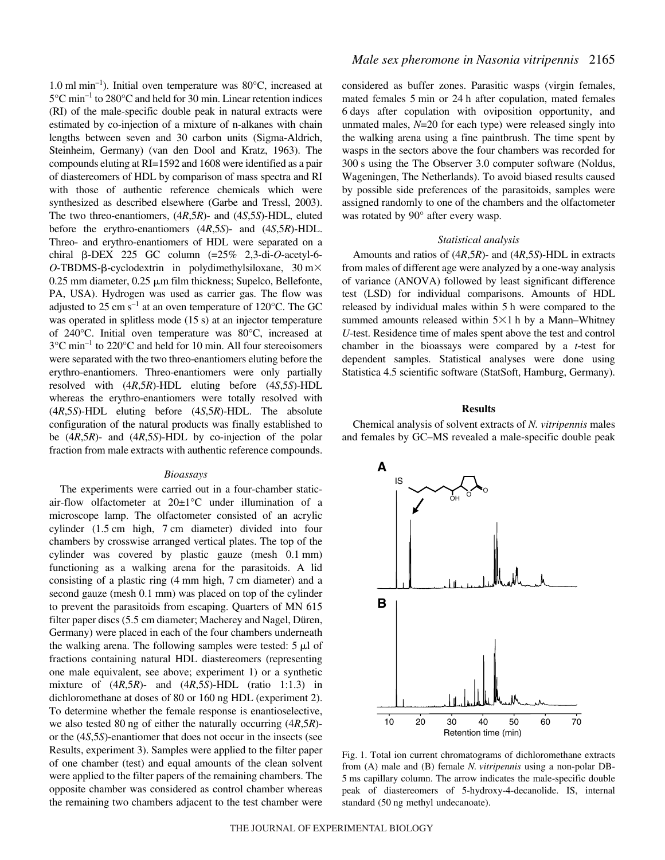$1.0 \text{ ml} \text{ min}^{-1}$ ). Initial oven temperature was 80 $^{\circ}$ C, increased at  $5^{\circ}$ C min<sup>-1</sup> to 280°C and held for 30 min. Linear retention indices (RI) of the male-specific double peak in natural extracts were estimated by co-injection of a mixture of n-alkanes with chain lengths between seven and 30 carbon units (Sigma-Aldrich, Steinheim, Germany) (van den Dool and Kratz, 1963). The compounds eluting at RI=1592 and 1608 were identified as a pair of diastereomers of HDL by comparison of mass spectra and RI with those of authentic reference chemicals which were synthesized as described elsewhere (Garbe and Tressl, 2003). The two threo-enantiomers, (4*R*,5*R*)- and (4*S*,5*S*)-HDL, eluted before the erythro-enantiomers (4*R*,5*S*)- and (4*S*,5*R*)-HDL. Threo- and erythro-enantiomers of HDL were separated on a chiral  $\beta$ -DEX 225 GC column  $(=25\%$  2,3-di-O-acetyl-6- $O$ -TBDMS- $\beta$ -cyclodextrin in polydimethylsiloxane,  $30 \text{ m} \times$ 0.25 mm diameter, 0.25  $\mu$ m film thickness; Supelco, Bellefonte, PA, USA). Hydrogen was used as carrier gas. The flow was adjusted to 25 cm  $s^{-1}$  at an oven temperature of 120°C. The GC was operated in splitless mode  $(15s)$  at an injector temperature of 240°C. Initial oven temperature was 80°C, increased at  $3^{\circ}$ C min<sup>-1</sup> to 220 $^{\circ}$ C and held for 10 min. All four stereoisomers were separated with the two threo-enantiomers eluting before the erythro-enantiomers. Threo-enantiomers were only partially resolved with (4*R*,5*R*)-HDL eluting before (4*S*,5*S*)-HDL whereas the erythro-enantiomers were totally resolved with (4*R*,5*S*)-HDL eluting before (4*S*,5*R*)-HDL. The absolute configuration of the natural products was finally established to be (4*R*,5*R*)- and (4*R*,5*S*)-HDL by co-injection of the polar fraction from male extracts with authentic reference compounds.

### *Bioassays*

The experiments were carried out in a four-chamber staticair-flow olfactometer at 20±1°C under illumination of a microscope lamp. The olfactometer consisted of an acrylic cylinder  $(1.5 \text{ cm}$  high,  $7 \text{ cm}$  diameter) divided into four chambers by crosswise arranged vertical plates. The top of the cylinder was covered by plastic gauze (mesh  $0.1$  mm) functioning as a walking arena for the parasitoids. A lid consisting of a plastic ring  $(4 \text{ mm high}, 7 \text{ cm diameter})$  and a second gauze (mesh 0.1 mm) was placed on top of the cylinder to prevent the parasitoids from escaping. Quarters of MN 615 filter paper discs (5.5 cm diameter; Macherey and Nagel, Düren, Germany) were placed in each of the four chambers underneath the walking arena. The following samples were tested:  $5 \mu l$  of fractions containing natural HDL diastereomers (representing one male equivalent, see above; experiment 1) or a synthetic mixture of (4*R*,5*R*)- and (4*R*,5*S*)-HDL (ratio 1:1.3) in dichloromethane at doses of 80 or 160 ng HDL (experiment 2). To determine whether the female response is enantioselective, we also tested 80 ng of either the naturally occurring  $(4R,5R)$ or the (4*S*,5*S*)-enantiomer that does not occur in the insects (see Results, experiment 3). Samples were applied to the filter paper of one chamber (test) and equal amounts of the clean solvent were applied to the filter papers of the remaining chambers. The opposite chamber was considered as control chamber whereas the remaining two chambers adjacent to the test chamber were

considered as buffer zones. Parasitic wasps (virgin females, mated females 5 min or 24 h after copulation, mated females 6·days after copulation with oviposition opportunity, and unmated males, *N*=20 for each type) were released singly into the walking arena using a fine paintbrush. The time spent by wasps in the sectors above the four chambers was recorded for 300 s using the The Observer 3.0 computer software (Noldus, Wageningen, The Netherlands). To avoid biased results caused by possible side preferences of the parasitoids, samples were assigned randomly to one of the chambers and the olfactometer was rotated by 90° after every wasp.

#### *Statistical analysis*

Amounts and ratios of (4*R*,5*R*)- and (4*R*,5*S*)-HDL in extracts from males of different age were analyzed by a one-way analysis of variance (ANOVA) followed by least significant difference test (LSD) for individual comparisons. Amounts of HDL released by individual males within 5 h were compared to the summed amounts released within  $5\times1$  h by a Mann–Whitney *U*-test. Residence time of males spent above the test and control chamber in the bioassays were compared by a *t*-test for dependent samples. Statistical analyses were done using Statistica 4.5 scientific software (StatSoft, Hamburg, Germany).

#### **Results**

Chemical analysis of solvent extracts of *N. vitripennis* males and females by GC–MS revealed a male-specific double peak



Fig. 1. Total ion current chromatograms of dichloromethane extracts from (A) male and (B) female *N.·vitripennis* using a non-polar DB-5 ms capillary column. The arrow indicates the male-specific double peak of diastereomers of 5-hydroxy-4-decanolide. IS, internal standard (50 ng methyl undecanoate).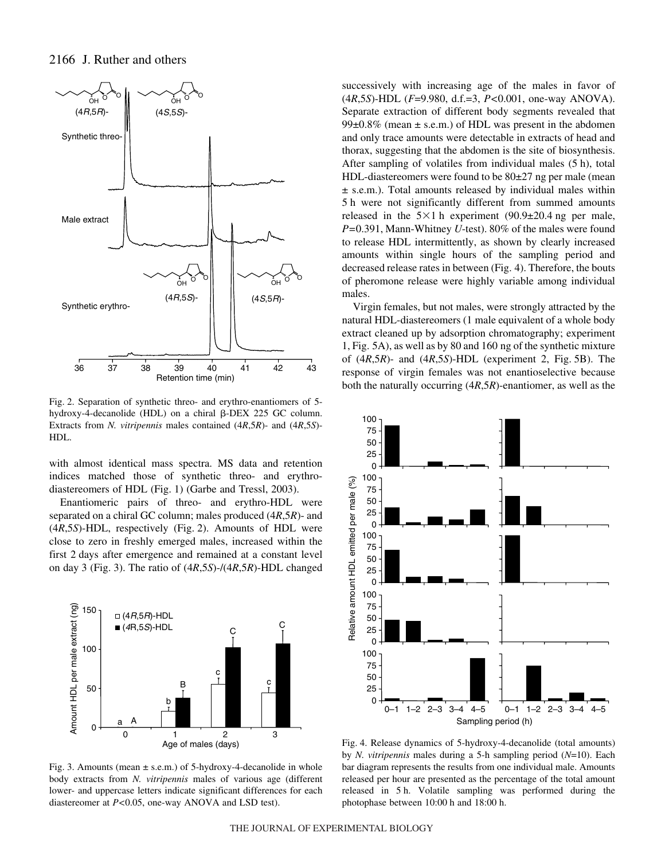

Fig. 2. Separation of synthetic threo- and erythro-enantiomers of 5hydroxy-4-decanolide (HDL) on a chiral  $\beta$ -DEX 225 GC column. Extracts from *N. vitripennis* males contained (4*R*,5*R*)- and (4*R*,5*S*)- HDL.

with almost identical mass spectra. MS data and retention indices matched those of synthetic threo- and erythrodiastereomers of HDL (Fig. 1) (Garbe and Tressl, 2003).

Enantiomeric pairs of threo- and erythro-HDL were separated on a chiral GC column; males produced (4*R*,5*R*)- and (4*R*,5*S*)-HDL, respectively (Fig. 2). Amounts of HDL were close to zero in freshly emerged males, increased within the first 2 days after emergence and remained at a constant level on day·3 (Fig.·3). The ratio of (4*R*,5*S*)-/(4*R*,5*R*)-HDL changed



Fig. 3. Amounts (mean  $\pm$  s.e.m.) of 5-hydroxy-4-decanolide in whole body extracts from *N. vitripennis* males of various age (different lower- and uppercase letters indicate significant differences for each diastereomer at *P<*0.05, one-way ANOVA and LSD test).

successively with increasing age of the males in favor of (4*R*,5*S*)-HDL (*F*=9.980, d.f.=3, *P<*0.001, one-way ANOVA). Separate extraction of different body segments revealed that  $99\pm0.8\%$  (mean  $\pm$  s.e.m.) of HDL was present in the abdomen and only trace amounts were detectable in extracts of head and thorax, suggesting that the abdomen is the site of biosynthesis. After sampling of volatiles from individual males (5 h), total HDL-diastereomers were found to be  $80\pm27$  ng per male (mean ± s.e.m.). Total amounts released by individual males within 5h were not significantly different from summed amounts released in the  $5\times1$  h experiment (90.9 $\pm$ 20.4 ng per male, *P=*0.391, Mann-Whitney *U*-test). 80% of the males were found to release HDL intermittently, as shown by clearly increased amounts within single hours of the sampling period and decreased release rates in between (Fig. 4). Therefore, the bouts of pheromone release were highly variable among individual males.

Virgin females, but not males, were strongly attracted by the natural HDL-diastereomers (1 male equivalent of a whole body extract cleaned up by adsorption chromatography; experiment 1, Fig. 5A), as well as by 80 and 160 ng of the synthetic mixture of  $(4R,5R)$ - and  $(4R,5S)$ -HDL (experiment 2, Fig. 5B). The response of virgin females was not enantioselective because both the naturally occurring (4*R*,5*R*)-enantiomer, as well as the



Age of males (days) Fig. 4. Release dynamics of 5-hydroxy-4-decanolide (total amounts) by *N. vitripennis* males during a 5-h sampling period (*N*=10). Each bar diagram represents the results from one individual male. Amounts released per hour are presented as the percentage of the total amount released in 5 h. Volatile sampling was performed during the photophase between 10:00 h and 18:00 h.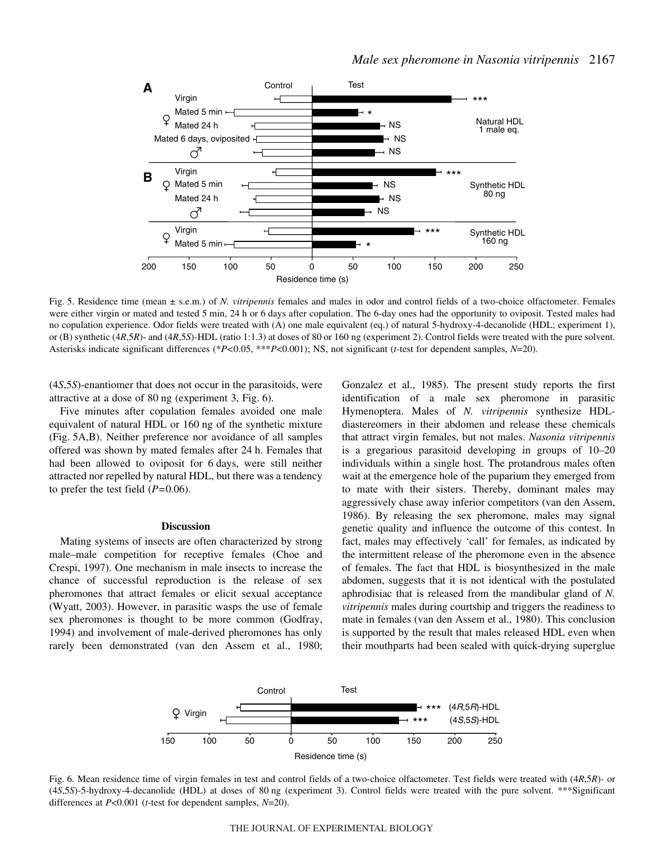

Fig. 5. Residence time (mean  $\pm$  s.e.m.) of *N. vitripennis* females and males in odor and control fields of a two-choice olfactometer. Females were either virgin or mated and tested 5 min, 24 h or 6 days after copulation. The 6-day ones had the opportunity to oviposit. Tested males had no copulation experience. Odor fields were treated with (A) one male equivalent (eq.) of natural 5-hydroxy-4-decanolide (HDL; experiment 1), or (B) synthetic (4*R*,5*R*)- and (4*R*,5*S*)-HDL (ratio 1:1.3) at doses of 80 or 160 ng (experiment 2). Control fields were treated with the pure solvent. Asterisks indicate significant differences (\**P<*0.05, \*\*\**P*<0.001); NS, not significant (*t*-test for dependent samples, *N*=20).

(4*S*,5*S*)-enantiomer that does not occur in the parasitoids, were attractive at a dose of 80 ng (experiment 3, Fig.  $6$ ).

Five minutes after copulation females avoided one male equivalent of natural HDL or 160 ng of the synthetic mixture (Fig. 5A,B). Neither preference nor avoidance of all samples offered was shown by mated females after 24 h. Females that had been allowed to oviposit for 6 days, were still neither attracted nor repelled by natural HDL, but there was a tendency to prefer the test field (*P=*0.06).

#### **Discussion**

Mating systems of insects are often characterized by strong male–male competition for receptive females (Choe and Crespi, 1997). One mechanism in male insects to increase the chance of successful reproduction is the release of sex pheromones that attract females or elicit sexual acceptance (Wyatt, 2003). However, in parasitic wasps the use of female sex pheromones is thought to be more common (Godfray, 1994) and involvement of male-derived pheromones has only rarely been demonstrated (van den Assem et al., 1980; Gonzalez et al., 1985). The present study reports the first identification of a male sex pheromone in parasitic Hymenoptera. Males of *N. vitripennis* synthesize HDLdiastereomers in their abdomen and release these chemicals that attract virgin females, but not males. *Nasonia vitripennis* is a gregarious parasitoid developing in groups of 10–20 individuals within a single host. The protandrous males often wait at the emergence hole of the puparium they emerged from to mate with their sisters. Thereby, dominant males may aggressively chase away inferior competitors (van den Assem, 1986). By releasing the sex pheromone, males may signal genetic quality and influence the outcome of this contest. In fact, males may effectively 'call' for females, as indicated by the intermittent release of the pheromone even in the absence of females. The fact that HDL is biosynthesized in the male abdomen, suggests that it is not identical with the postulated aphrodisiac that is released from the mandibular gland of *N. vitripennis* males during courtship and triggers the readiness to mate in females (van den Assem et al., 1980). This conclusion is supported by the result that males released HDL even when their mouthparts had been sealed with quick-drying superglue



Fig. 6. Mean residence time of virgin females in test and control fields of a two-choice olfactometer. Test fields were treated with  $(4R,5R)$ - or (4*S*,5*S*)-5-hydroxy-4-decanolide (HDL) at doses of 80 ng (experiment 3). Control fields were treated with the pure solvent. \*\*\*Significant differences at *P*<0.001 (*t*-test for dependent samples, *N*=20).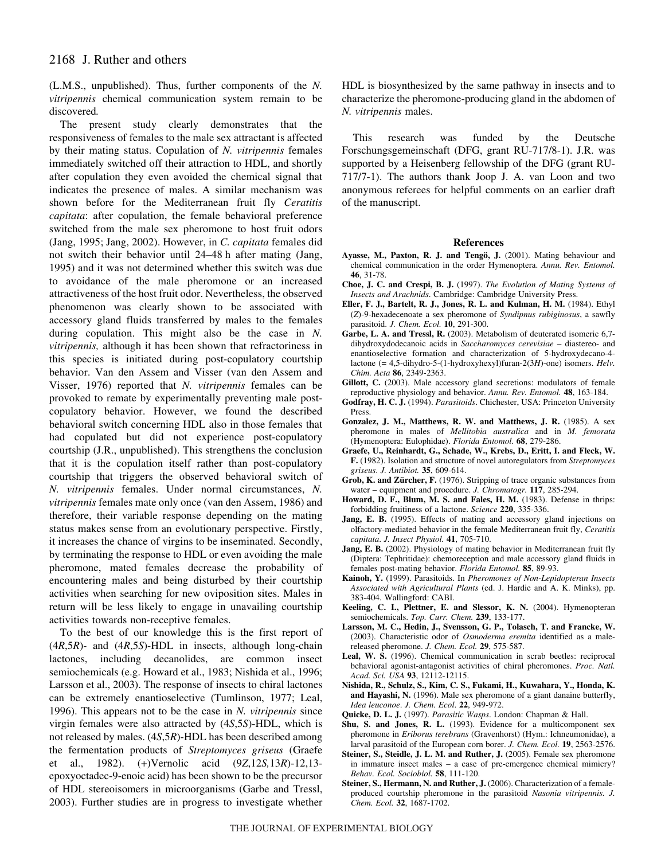(L.M.S., unpublished). Thus, further components of the *N. vitripennis* chemical communication system remain to be discovered*.*

The present study clearly demonstrates that the responsiveness of females to the male sex attractant is affected by their mating status. Copulation of *N. vitripennis* females immediately switched off their attraction to HDL, and shortly after copulation they even avoided the chemical signal that indicates the presence of males. A similar mechanism was shown before for the Mediterranean fruit fly *Ceratitis capitata*: after copulation, the female behavioral preference switched from the male sex pheromone to host fruit odors (Jang, 1995; Jang, 2002). However, in *C. capitata* females did not switch their behavior until 24–48 h after mating (Jang, 1995) and it was not determined whether this switch was due to avoidance of the male pheromone or an increased attractiveness of the host fruit odor. Nevertheless, the observed phenomenon was clearly shown to be associated with accessory gland fluids transferred by males to the females during copulation. This might also be the case in *N. vitripennis,* although it has been shown that refractoriness in this species is initiated during post-copulatory courtship behavior. Van den Assem and Visser (van den Assem and Visser, 1976) reported that *N. vitripennis* females can be provoked to remate by experimentally preventing male postcopulatory behavior. However, we found the described behavioral switch concerning HDL also in those females that had copulated but did not experience post-copulatory courtship (J.R., unpublished). This strengthens the conclusion that it is the copulation itself rather than post-copulatory courtship that triggers the observed behavioral switch of *N. vitripennis* females. Under normal circumstances, *N. vitripennis* females mate only once (van den Assem, 1986) and therefore, their variable response depending on the mating status makes sense from an evolutionary perspective. Firstly, it increases the chance of virgins to be inseminated. Secondly, by terminating the response to HDL or even avoiding the male pheromone, mated females decrease the probability of encountering males and being disturbed by their courtship activities when searching for new oviposition sites. Males in return will be less likely to engage in unavailing courtship activities towards non-receptive females.

To the best of our knowledge this is the first report of (4*R*,5*R*)- and (4*R*,5*S*)-HDL in insects, although long-chain lactones, including decanolides, are common insect semiochemicals (e.g. Howard et al., 1983; Nishida et al., 1996; Larsson et al., 2003). The response of insects to chiral lactones can be extremely enantioselective (Tumlinson, 1977; Leal, 1996). This appears not to be the case in *N. vitripennis* since virgin females were also attracted by (4*S*,5*S*)-HDL, which is not released by males. (4*S*,5*R*)-HDL has been described among the fermentation products of *Streptomyces griseus* (Graefe et al., 1982). (+)Vernolic acid (9*Z*,12*S,*13*R*)-12,13 epoxyoctadec-9-enoic acid) has been shown to be the precursor of HDL stereoisomers in microorganisms (Garbe and Tressl, 2003). Further studies are in progress to investigate whether HDL is biosynthesized by the same pathway in insects and to characterize the pheromone-producing gland in the abdomen of *N. vitripennis* males.

This research was funded by the Deutsche Forschungsgemeinschaft (DFG, grant RU-717/8-1). J.R. was supported by a Heisenberg fellowship of the DFG (grant RU-717/7-1). The authors thank Joop J. A. van Loon and two anonymous referees for helpful comments on an earlier draft of the manuscript.

#### **References**

- **Ayasse, M., Paxton, R. J. and Tengö, J.** (2001). Mating behaviour and chemical communication in the order Hymenoptera. *Annu. Rev. Entomol.* **46**, 31-78.
- **Choe, J. C. and Crespi, B. J.** (1997). *The Evolution of Mating Systems of Insects and Arachnids*. Cambridge: Cambridge University Press.
- **Eller, F. J., Bartelt, R. J., Jones, R. L. and Kulman, H. M.** (1984). Ethyl (*Z*)-9-hexadecenoate a sex pheromone of *Syndipnus rubiginosus*, a sawfly parasitoid. *J. Chem. Ecol.* **10**, 291-300.
- **Garbe, L. A. and Tressl, R.** (2003). Metabolism of deuterated isomeric 6,7 dihydroxydodecanoic acids in *Saccharomyces cerevisiae* – diastereo- and enantioselective formation and characterization of 5-hydroxydecano-4 lactone (= 4,5-dihydro-5-(1-hydroxyhexyl)furan-2(3*H*)-one) isomers. *Helv. Chim. Acta* **86**, 2349-2363.
- Gillott, C. (2003). Male accessory gland secretions: modulators of female reproductive physiology and behavior. *Annu. Rev. Entomol.* **48**, 163-184.
- **Godfray, H. C. J.** (1994). *Parasitoids*. Chichester, USA: Princeton University Press.
- **Gonzalez, J. M., Matthews, R. W. and Matthews, J. R.** (1985). A sex pheromone in males of *Mellitobia australica* and in *M. femorata* (Hymenoptera: Eulophidae). *Florida Entomol.* **68**, 279-286.
- **Graefe, U., Reinhardt, G., Schade, W., Krebs, D., Eritt, I. and Fleck, W. F.** (1982). Isolation and structure of novel autoregulators from *Streptomyces griseus*. *J. Antibiot.* **35**, 609-614.
- **Grob, K. and Zürcher, F.** (1976). Stripping of trace organic substances from water – equipment and procedure. *J. Chromatogr.* **117**, 285-294.
- **Howard, D. F., Blum, M. S. and Fales, H. M.** (1983). Defense in thrips: forbidding fruitiness of a lactone. *Science* **220**, 335-336.
- Jang, E. B. (1995). Effects of mating and accessory gland injections on olfactory-mediated behavior in the female Mediterranean fruit fly, *Ceratitis capitata*. *J. Insect Physiol.* **41**, 705-710.
- **Jang, E. B.** (2002). Physiology of mating behavior in Mediterranean fruit fly (Diptera: Tephritidae): chemoreception and male accessory gland fluids in females post-mating behavior. *Florida Entomol.* **85**, 89-93.
- **Kainoh, Y.** (1999). Parasitoids. In *Pheromones of Non-Lepidopteran Insects Associated with Agricultural Plants* (ed. J. Hardie and A. K. Minks), pp. 383-404. Wallingford: CABI.
- **Keeling, C. I., Plettner, E. and Slessor, K. N.** (2004). Hymenopteran semiochemicals. *Top. Curr. Chem.* **239**, 133-177.
- **Larsson, M. C., Hedin, J., Svensson, G. P., Tolasch, T. and Francke, W.** (2003). Characteristic odor of *Osmoderma eremita* identified as a malereleased pheromone. *J. Chem. Ecol.* **29**, 575-587.
- Leal, W. S. (1996). Chemical communication in scrab beetles: reciprocal behavioral agonist-antagonist activities of chiral pheromones. *Proc. Natl. Acad. Sci. USA* **93**, 12112-12115.
- **Nishida, R., Schulz, S., Kim, C. S., Fukami, H., Kuwahara, Y., Honda, K. and Hayashi, N.** (1996). Male sex pheromone of a giant danaine butterfly, *Idea leuconoe*. *J. Chem. Ecol*. **22**, 949-972.
- **Quicke, D. L. J.** (1997). *Parasitic Wasps*. London: Chapman & Hall.
- **Shu, S. and Jones, R. L.** (1993). Evidence for a multicomponent sex pheromone in *Eriborus terebrans* (Gravenhorst) (Hym.: Ichneumonidae), a larval parasitoid of the European corn borer. *J. Chem. Ecol.* **19**, 2563-2576.
- **Steiner, S., Steidle, J. L. M. and Ruther, J.** (2005). Female sex pheromone in immature insect males – a case of pre-emergence chemical mimicry? *Behav. Ecol. Sociobiol.* **58**, 111-120.
- **Steiner, S., Hermann, N. and Ruther, J.** (2006). Characterization of a femaleproduced courtship pheromone in the parasitoid *Nasonia vitripennis. J. Chem. Ecol.* **32**, 1687-1702.